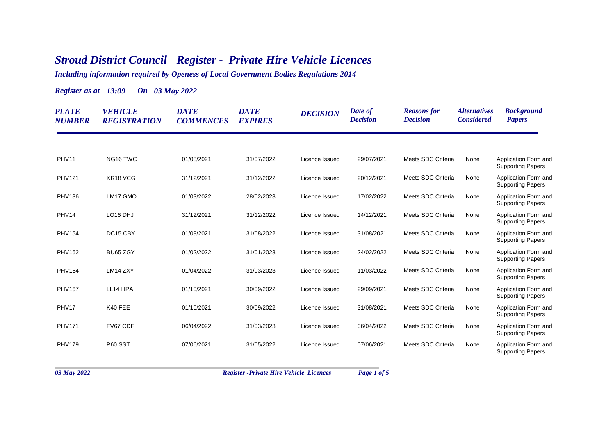## *Stroud District Council Register - Private Hire Vehicle Licences*

*Including information required by Openess of Local Government Bodies Regulations 2014*

*Register as at 13:09 On 03 May 2022*

| <b>PLATE</b><br><b>NUMBER</b> | <b>VEHICLE</b><br><b>REGISTRATION</b> | <b>DATE</b><br><b>COMMENCES</b> | <b>DATE</b><br><b>EXPIRES</b> | <b>DECISION</b> | Date of<br><b>Decision</b> | <b>Reasons</b> for<br><b>Decision</b> | <i><b>Alternatives</b></i><br><b>Considered</b> | <b>Background</b><br><b>Papers</b>               |
|-------------------------------|---------------------------------------|---------------------------------|-------------------------------|-----------------|----------------------------|---------------------------------------|-------------------------------------------------|--------------------------------------------------|
|                               |                                       |                                 |                               |                 |                            |                                       |                                                 |                                                  |
| <b>PHV11</b>                  | NG16 TWC                              | 01/08/2021                      | 31/07/2022                    | Licence Issued  | 29/07/2021                 | Meets SDC Criteria                    | None                                            | Application Form and<br><b>Supporting Papers</b> |
| <b>PHV121</b>                 | KR18 VCG                              | 31/12/2021                      | 31/12/2022                    | Licence Issued  | 20/12/2021                 | Meets SDC Criteria                    | None                                            | Application Form and<br><b>Supporting Papers</b> |
| <b>PHV136</b>                 | LM17 GMO                              | 01/03/2022                      | 28/02/2023                    | Licence Issued  | 17/02/2022                 | Meets SDC Criteria                    | None                                            | Application Form and<br><b>Supporting Papers</b> |
| PHV14                         | LO <sub>16</sub> DHJ                  | 31/12/2021                      | 31/12/2022                    | Licence Issued  | 14/12/2021                 | Meets SDC Criteria                    | None                                            | Application Form and<br><b>Supporting Papers</b> |
| <b>PHV154</b>                 | DC15 CBY                              | 01/09/2021                      | 31/08/2022                    | Licence Issued  | 31/08/2021                 | Meets SDC Criteria                    | None                                            | Application Form and<br><b>Supporting Papers</b> |
| <b>PHV162</b>                 | BU65 ZGY                              | 01/02/2022                      | 31/01/2023                    | Licence Issued  | 24/02/2022                 | Meets SDC Criteria                    | None                                            | Application Form and<br><b>Supporting Papers</b> |
| <b>PHV164</b>                 | LM14 ZXY                              | 01/04/2022                      | 31/03/2023                    | Licence Issued  | 11/03/2022                 | Meets SDC Criteria                    | None                                            | Application Form and<br><b>Supporting Papers</b> |
| <b>PHV167</b>                 | LL14 HPA                              | 01/10/2021                      | 30/09/2022                    | Licence Issued  | 29/09/2021                 | Meets SDC Criteria                    | None                                            | Application Form and<br><b>Supporting Papers</b> |
| PHV17                         | K40 FEE                               | 01/10/2021                      | 30/09/2022                    | Licence Issued  | 31/08/2021                 | Meets SDC Criteria                    | None                                            | Application Form and<br><b>Supporting Papers</b> |
| <b>PHV171</b>                 | FV67 CDF                              | 06/04/2022                      | 31/03/2023                    | Licence Issued  | 06/04/2022                 | Meets SDC Criteria                    | None                                            | Application Form and<br><b>Supporting Papers</b> |
| <b>PHV179</b>                 | <b>P60 SST</b>                        | 07/06/2021                      | 31/05/2022                    | Licence Issued  | 07/06/2021                 | Meets SDC Criteria                    | None                                            | Application Form and<br><b>Supporting Papers</b> |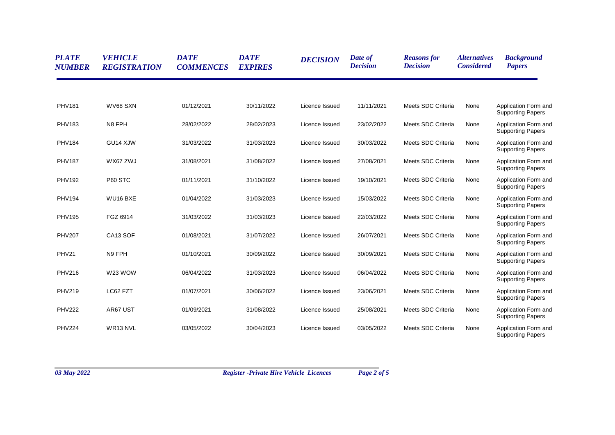| <b>PLATE</b><br><b>NUMBER</b> | <b>VEHICLE</b><br><b>REGISTRATION</b> | <b>DATE</b><br><b>COMMENCES</b> | <b>DATE</b><br><b>EXPIRES</b> | <b>DECISION</b> | Date of<br><b>Decision</b> | <b>Reasons for</b><br><b>Decision</b> | <i><b>Alternatives</b></i><br><b>Considered</b> | <b>Background</b><br><b>Papers</b>               |
|-------------------------------|---------------------------------------|---------------------------------|-------------------------------|-----------------|----------------------------|---------------------------------------|-------------------------------------------------|--------------------------------------------------|
|                               |                                       |                                 |                               |                 |                            |                                       |                                                 |                                                  |
| <b>PHV181</b>                 | WV68 SXN                              | 01/12/2021                      | 30/11/2022                    | Licence Issued  | 11/11/2021                 | Meets SDC Criteria                    | None                                            | Application Form and<br><b>Supporting Papers</b> |
| <b>PHV183</b>                 | N8 FPH                                | 28/02/2022                      | 28/02/2023                    | Licence Issued  | 23/02/2022                 | Meets SDC Criteria                    | None                                            | Application Form and<br><b>Supporting Papers</b> |
| <b>PHV184</b>                 | GU14 XJW                              | 31/03/2022                      | 31/03/2023                    | Licence Issued  | 30/03/2022                 | Meets SDC Criteria                    | None                                            | Application Form and<br><b>Supporting Papers</b> |
| <b>PHV187</b>                 | WX67 ZWJ                              | 31/08/2021                      | 31/08/2022                    | Licence Issued  | 27/08/2021                 | Meets SDC Criteria                    | None                                            | Application Form and<br><b>Supporting Papers</b> |
| <b>PHV192</b>                 | P60 STC                               | 01/11/2021                      | 31/10/2022                    | Licence Issued  | 19/10/2021                 | Meets SDC Criteria                    | None                                            | Application Form and<br><b>Supporting Papers</b> |
| <b>PHV194</b>                 | WU16 BXE                              | 01/04/2022                      | 31/03/2023                    | Licence Issued  | 15/03/2022                 | Meets SDC Criteria                    | None                                            | Application Form and<br><b>Supporting Papers</b> |
| <b>PHV195</b>                 | FGZ 6914                              | 31/03/2022                      | 31/03/2023                    | Licence Issued  | 22/03/2022                 | Meets SDC Criteria                    | None                                            | Application Form and<br><b>Supporting Papers</b> |
| <b>PHV207</b>                 | CA13 SOF                              | 01/08/2021                      | 31/07/2022                    | Licence Issued  | 26/07/2021                 | Meets SDC Criteria                    | None                                            | Application Form and<br><b>Supporting Papers</b> |
| PHV21                         | N9 FPH                                | 01/10/2021                      | 30/09/2022                    | Licence Issued  | 30/09/2021                 | Meets SDC Criteria                    | None                                            | Application Form and<br><b>Supporting Papers</b> |
| <b>PHV216</b>                 | W23 WOW                               | 06/04/2022                      | 31/03/2023                    | Licence Issued  | 06/04/2022                 | Meets SDC Criteria                    | None                                            | Application Form and<br><b>Supporting Papers</b> |
| <b>PHV219</b>                 | LC62 FZT                              | 01/07/2021                      | 30/06/2022                    | Licence Issued  | 23/06/2021                 | Meets SDC Criteria                    | None                                            | Application Form and<br><b>Supporting Papers</b> |
| <b>PHV222</b>                 | AR67 UST                              | 01/09/2021                      | 31/08/2022                    | Licence Issued  | 25/08/2021                 | Meets SDC Criteria                    | None                                            | Application Form and<br><b>Supporting Papers</b> |
| <b>PHV224</b>                 | WR13 NVL                              | 03/05/2022                      | 30/04/2023                    | Licence Issued  | 03/05/2022                 | Meets SDC Criteria                    | None                                            | Application Form and<br><b>Supporting Papers</b> |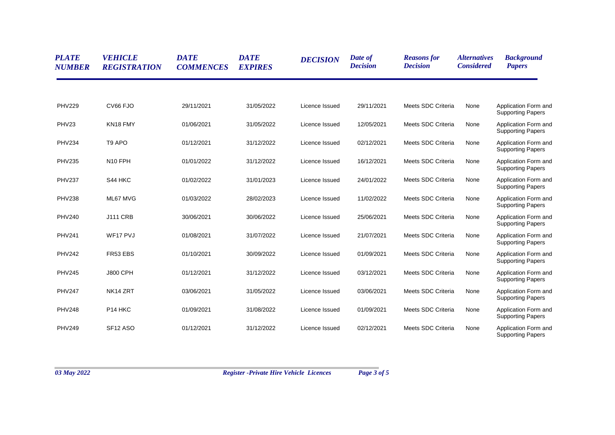| <b>PLATE</b><br><b>NUMBER</b> | <b>VEHICLE</b><br><b>REGISTRATION</b> | <b>DATE</b><br><b>COMMENCES</b> | <b>DATE</b><br><b>EXPIRES</b> | <b>DECISION</b> | Date of<br><b>Decision</b> | <b>Reasons for</b><br><b>Decision</b> | <i><b>Alternatives</b></i><br><b>Considered</b> | <b>Background</b><br><b>Papers</b>               |
|-------------------------------|---------------------------------------|---------------------------------|-------------------------------|-----------------|----------------------------|---------------------------------------|-------------------------------------------------|--------------------------------------------------|
|                               |                                       |                                 |                               |                 |                            |                                       |                                                 |                                                  |
| <b>PHV229</b>                 | CV66 FJO                              | 29/11/2021                      | 31/05/2022                    | Licence Issued  | 29/11/2021                 | Meets SDC Criteria                    | None                                            | Application Form and<br><b>Supporting Papers</b> |
| PHV23                         | KN18 FMY                              | 01/06/2021                      | 31/05/2022                    | Licence Issued  | 12/05/2021                 | Meets SDC Criteria                    | None                                            | Application Form and<br><b>Supporting Papers</b> |
| <b>PHV234</b>                 | T <sub>9</sub> APO                    | 01/12/2021                      | 31/12/2022                    | Licence Issued  | 02/12/2021                 | Meets SDC Criteria                    | None                                            | Application Form and<br><b>Supporting Papers</b> |
| <b>PHV235</b>                 | N <sub>10</sub> FPH                   | 01/01/2022                      | 31/12/2022                    | Licence Issued  | 16/12/2021                 | Meets SDC Criteria                    | None                                            | Application Form and<br><b>Supporting Papers</b> |
| <b>PHV237</b>                 | S44 HKC                               | 01/02/2022                      | 31/01/2023                    | Licence Issued  | 24/01/2022                 | Meets SDC Criteria                    | None                                            | Application Form and<br><b>Supporting Papers</b> |
| <b>PHV238</b>                 | ML67 MVG                              | 01/03/2022                      | 28/02/2023                    | Licence Issued  | 11/02/2022                 | Meets SDC Criteria                    | None                                            | Application Form and<br><b>Supporting Papers</b> |
| <b>PHV240</b>                 | <b>J111 CRB</b>                       | 30/06/2021                      | 30/06/2022                    | Licence Issued  | 25/06/2021                 | Meets SDC Criteria                    | None                                            | Application Form and<br><b>Supporting Papers</b> |
| <b>PHV241</b>                 | WF17 PVJ                              | 01/08/2021                      | 31/07/2022                    | Licence Issued  | 21/07/2021                 | Meets SDC Criteria                    | None                                            | Application Form and<br><b>Supporting Papers</b> |
| <b>PHV242</b>                 | FR53 EBS                              | 01/10/2021                      | 30/09/2022                    | Licence Issued  | 01/09/2021                 | Meets SDC Criteria                    | None                                            | Application Form and<br><b>Supporting Papers</b> |
| <b>PHV245</b>                 | <b>J800 CPH</b>                       | 01/12/2021                      | 31/12/2022                    | Licence Issued  | 03/12/2021                 | Meets SDC Criteria                    | None                                            | Application Form and<br><b>Supporting Papers</b> |
| <b>PHV247</b>                 | NK14 ZRT                              | 03/06/2021                      | 31/05/2022                    | Licence Issued  | 03/06/2021                 | Meets SDC Criteria                    | None                                            | Application Form and<br><b>Supporting Papers</b> |
| <b>PHV248</b>                 | P <sub>14</sub> HKC                   | 01/09/2021                      | 31/08/2022                    | Licence Issued  | 01/09/2021                 | Meets SDC Criteria                    | None                                            | Application Form and<br><b>Supporting Papers</b> |
| <b>PHV249</b>                 | SF <sub>12</sub> ASO                  | 01/12/2021                      | 31/12/2022                    | Licence Issued  | 02/12/2021                 | Meets SDC Criteria                    | None                                            | Application Form and<br><b>Supporting Papers</b> |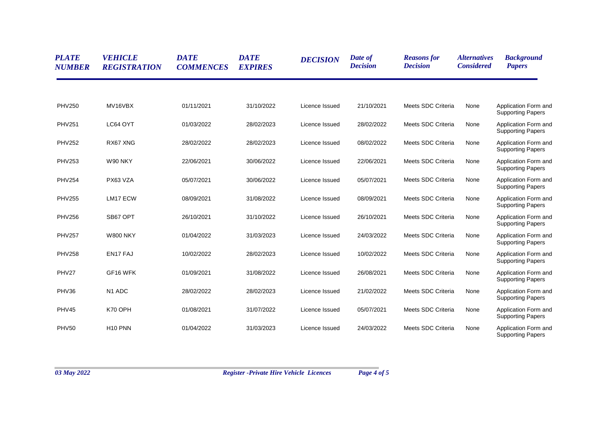| <b>PLATE</b><br><b>NUMBER</b> | <b>VEHICLE</b><br><b>REGISTRATION</b> | <b>DATE</b><br><b>COMMENCES</b> | <b>DATE</b><br><b>EXPIRES</b> | <b>DECISION</b> | Date of<br><b>Decision</b> | <b>Reasons for</b><br><b>Decision</b> | <i><b>Alternatives</b></i><br><b>Considered</b> | <b>Background</b><br><b>Papers</b>               |
|-------------------------------|---------------------------------------|---------------------------------|-------------------------------|-----------------|----------------------------|---------------------------------------|-------------------------------------------------|--------------------------------------------------|
|                               |                                       |                                 |                               |                 |                            |                                       |                                                 |                                                  |
| <b>PHV250</b>                 | MV16VBX                               | 01/11/2021                      | 31/10/2022                    | Licence Issued  | 21/10/2021                 | Meets SDC Criteria                    | None                                            | Application Form and<br><b>Supporting Papers</b> |
| <b>PHV251</b>                 | LC64 OYT                              | 01/03/2022                      | 28/02/2023                    | Licence Issued  | 28/02/2022                 | Meets SDC Criteria                    | None                                            | Application Form and<br><b>Supporting Papers</b> |
| <b>PHV252</b>                 | RX67 XNG                              | 28/02/2022                      | 28/02/2023                    | Licence Issued  | 08/02/2022                 | Meets SDC Criteria                    | None                                            | Application Form and<br><b>Supporting Papers</b> |
| <b>PHV253</b>                 | W90 NKY                               | 22/06/2021                      | 30/06/2022                    | Licence Issued  | 22/06/2021                 | Meets SDC Criteria                    | None                                            | Application Form and<br><b>Supporting Papers</b> |
| <b>PHV254</b>                 | PX63 VZA                              | 05/07/2021                      | 30/06/2022                    | Licence Issued  | 05/07/2021                 | Meets SDC Criteria                    | None                                            | Application Form and<br><b>Supporting Papers</b> |
| <b>PHV255</b>                 | LM17 ECW                              | 08/09/2021                      | 31/08/2022                    | Licence Issued  | 08/09/2021                 | Meets SDC Criteria                    | None                                            | Application Form and<br><b>Supporting Papers</b> |
| <b>PHV256</b>                 | SB67 OPT                              | 26/10/2021                      | 31/10/2022                    | Licence Issued  | 26/10/2021                 | Meets SDC Criteria                    | None                                            | Application Form and<br><b>Supporting Papers</b> |
| <b>PHV257</b>                 | <b>W800 NKY</b>                       | 01/04/2022                      | 31/03/2023                    | Licence Issued  | 24/03/2022                 | Meets SDC Criteria                    | None                                            | Application Form and<br><b>Supporting Papers</b> |
| <b>PHV258</b>                 | EN17 FAJ                              | 10/02/2022                      | 28/02/2023                    | Licence Issued  | 10/02/2022                 | Meets SDC Criteria                    | None                                            | Application Form and<br><b>Supporting Papers</b> |
| PHV27                         | GF16 WFK                              | 01/09/2021                      | 31/08/2022                    | Licence Issued  | 26/08/2021                 | Meets SDC Criteria                    | None                                            | Application Form and<br><b>Supporting Papers</b> |
| PHV36                         | N <sub>1</sub> ADC                    | 28/02/2022                      | 28/02/2023                    | Licence Issued  | 21/02/2022                 | Meets SDC Criteria                    | None                                            | Application Form and<br><b>Supporting Papers</b> |
| PHV45                         | K70 OPH                               | 01/08/2021                      | 31/07/2022                    | Licence Issued  | 05/07/2021                 | Meets SDC Criteria                    | None                                            | Application Form and<br><b>Supporting Papers</b> |
| <b>PHV50</b>                  | H <sub>10</sub> PNN                   | 01/04/2022                      | 31/03/2023                    | Licence Issued  | 24/03/2022                 | Meets SDC Criteria                    | None                                            | Application Form and<br><b>Supporting Papers</b> |